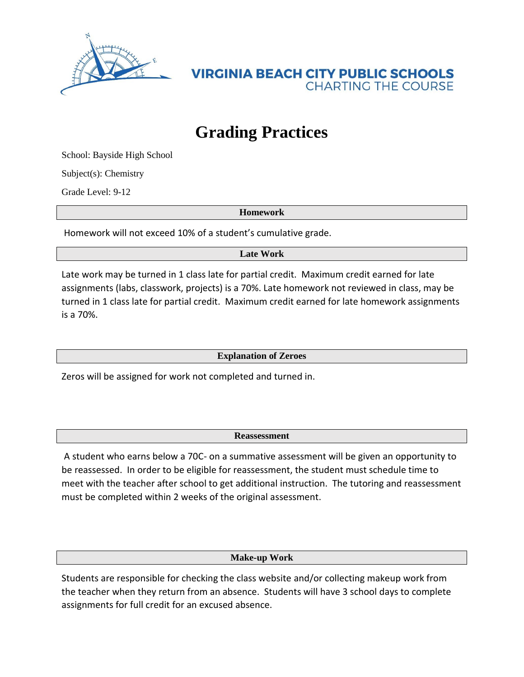

**VIRGINIA BEACH CITY PUBLIC SCHOOLS CHARTING THE COURSE** 

## **Grading Practices**

School: Bayside High School

Subject(s): Chemistry

Grade Level: 9-12

**Homework**

Homework will not exceed 10% of a student's cumulative grade.

**Late Work**

Late work may be turned in 1 class late for partial credit. Maximum credit earned for late assignments (labs, classwork, projects) is a 70%. Late homework not reviewed in class, may be turned in 1 class late for partial credit. Maximum credit earned for late homework assignments is a 70%.

**Explanation of Zeroes**

Zeros will be assigned for work not completed and turned in.

**Reassessment**

A student who earns below a 70C- on a summative assessment will be given an opportunity to be reassessed. In order to be eligible for reassessment, the student must schedule time to meet with the teacher after school to get additional instruction. The tutoring and reassessment must be completed within 2 weeks of the original assessment.

**Make-up Work**

Students are responsible for checking the class website and/or collecting makeup work from the teacher when they return from an absence. Students will have 3 school days to complete assignments for full credit for an excused absence.